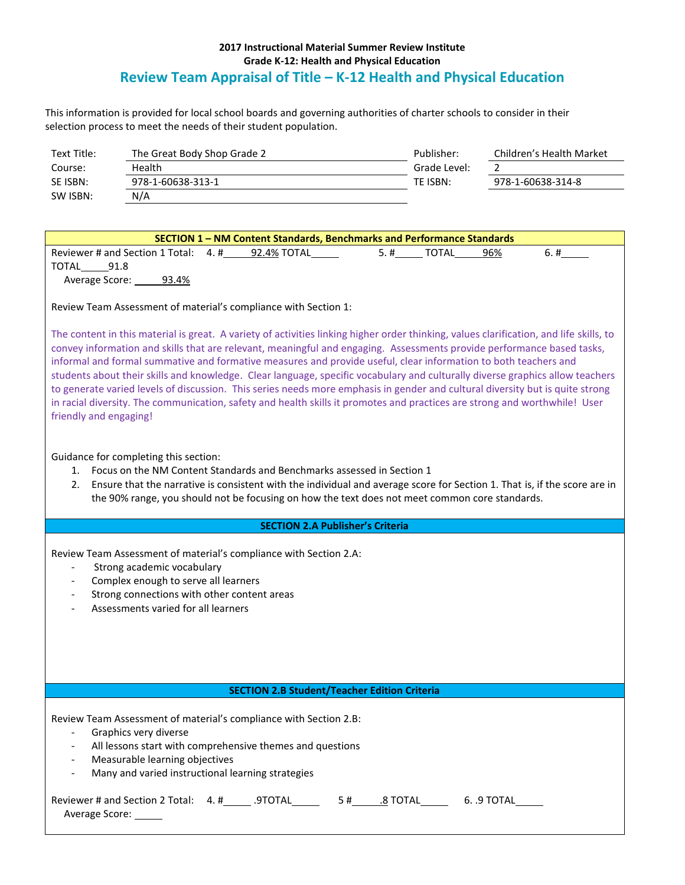## **2017 Instructional Material Summer Review Institute Grade K-12: Health and Physical Education Review Team Appraisal of Title – K-12 Health and Physical Education**

This information is provided for local school boards and governing authorities of charter schools to consider in their selection process to meet the needs of their student population.

| Text Title: | The Great Body Shop Grade 2 | Publisher:   | Children's Health Market |
|-------------|-----------------------------|--------------|--------------------------|
| Course:     | Health                      | Grade Level: |                          |
| SE ISBN:    | 978-1-60638-313-1           | TE ISBN:     | 978-1-60638-314-8        |
| SW ISBN:    | N/A                         |              |                          |

| <b>SECTION 1-NM Content Standards, Benchmarks and Performance Standards</b> |             |                     |      |  |  |  |  |  |
|-----------------------------------------------------------------------------|-------------|---------------------|------|--|--|--|--|--|
| Reviewer # and Section 1 Total: $4.$ #                                      | 92.4% TOTAL | 96%<br>TOTAL<br>5.# | 6. # |  |  |  |  |  |
| 91.8<br>TOTAL                                                               |             |                     |      |  |  |  |  |  |
| 93.4%<br>Average Score:                                                     |             |                     |      |  |  |  |  |  |

Review Team Assessment of material's compliance with Section 1:

The content in this material is great. A variety of activities linking higher order thinking, values clarification, and life skills, to convey information and skills that are relevant, meaningful and engaging. Assessments provide performance based tasks, informal and formal summative and formative measures and provide useful, clear information to both teachers and students about their skills and knowledge. Clear language, specific vocabulary and culturally diverse graphics allow teachers to generate varied levels of discussion. This series needs more emphasis in gender and cultural diversity but is quite strong in racial diversity. The communication, safety and health skills it promotes and practices are strong and worthwhile! User friendly and engaging!

Guidance for completing this section:

- 1. Focus on the NM Content Standards and Benchmarks assessed in Section 1
- 2. Ensure that the narrative is consistent with the individual and average score for Section 1. That is, if the score are in the 90% range, you should not be focusing on how the text does not meet common core standards.

## **SECTION 2.A Publisher's Criteria**

Review Team Assessment of material's compliance with Section 2.A:

- Strong academic vocabulary
- Complex enough to serve all learners
- Strong connections with other content areas
- Assessments varied for all learners

## **SECTION 2.B Student/Teacher Edition Criteria**

Review Team Assessment of material's compliance with Section 2.B:

- Graphics very diverse
- All lessons start with comprehensive themes and questions
- Measurable learning objectives
- Many and varied instructional learning strategies

| Reviewer # and Section 2 Total: 4. # | .9TOTAL | .8 TOTAL | 6. .9 TOTAL |
|--------------------------------------|---------|----------|-------------|
| Average Score:                       |         |          |             |